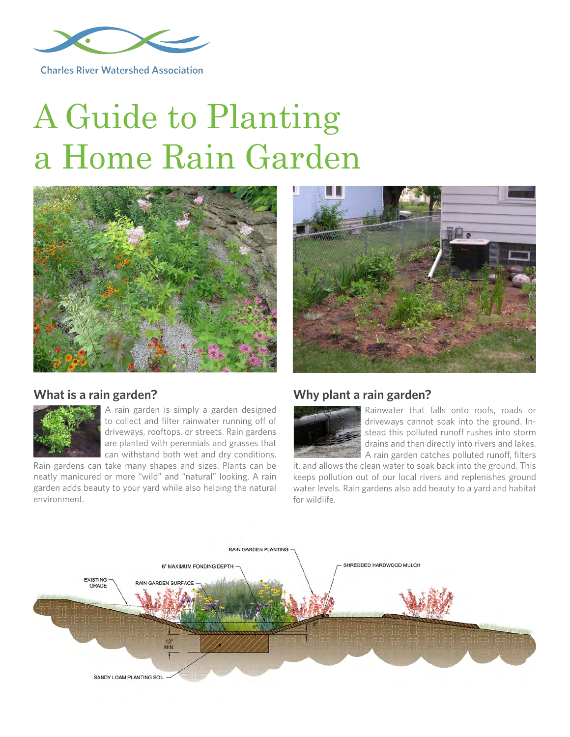

**Charles River Watershed Association** 

# A Guide to Planting a Home Rain Garden





#### **What is a rain garden?**



A rain garden is simply a garden designed to collect and filter rainwater running off of driveways, rooftops, or streets. Rain gardens are planted with perennials and grasses that can withstand both wet and dry conditions.

Rain gardens can take many shapes and sizes. Plants can be neatly manicured or more "wild" and "natural" looking. A rain garden adds beauty to your yard while also helping the natural environment.

#### **Why plant a rain garden?**



Rainwater that falls onto roofs, roads or driveways cannot soak into the ground. Instead this polluted runoff rushes into storm drains and then directly into rivers and lakes. A rain garden catches polluted runoff, filters

it, and allows the clean water to soak back into the ground. This keeps pollution out of our local rivers and replenishes ground water levels. Rain gardens also add beauty to a yard and habitat for wildlife.

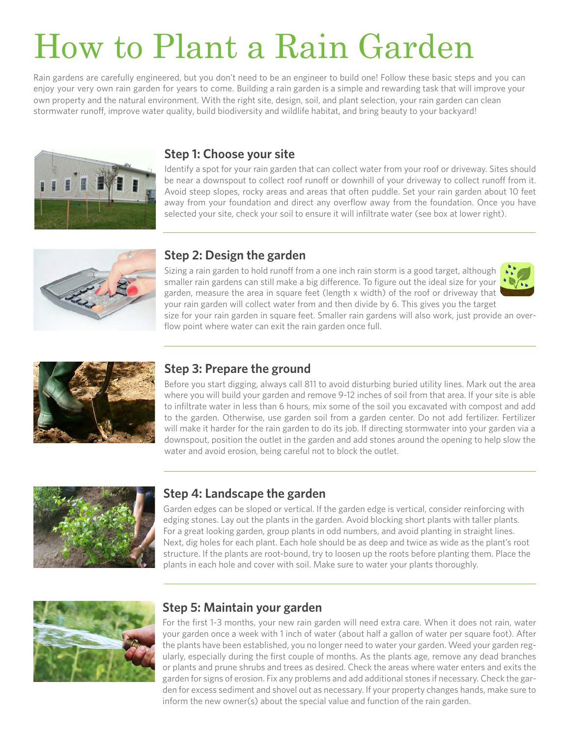# How to Plant a Rain Garden

Rain gardens are carefully engineered, but you don't need to be an engineer to build one! Follow these basic steps and you can enjoy your very own rain garden for years to come. Building a rain garden is a simple and rewarding task that will improve your own property and the natural environment. With the right site, design, soil, and plant selection, your rain garden can clean stormwater runoff, improve water quality, build biodiversity and wildlife habitat, and bring beauty to your backyard!



#### **Step 1: Choose your site**

Identify a spot for your rain garden that can collect water from your roof or driveway. Sites should be near a downspout to collect roof runoff or downhill of your driveway to collect runoff from it. Avoid steep slopes, rocky areas and areas that often puddle. Set your rain garden about 10 feet away from your foundation and direct any overflow away from the foundation. Once you have selected your site, check your soil to ensure it will infiltrate water (see box at lower right).



#### **Step 2: Design the garden**

Sizing a rain garden to hold runoff from a one inch rain storm is a good target, although smaller rain gardens can still make a big difference. To figure out the ideal size for your garden, measure the area in square feet (length x width) of the roof or driveway that your rain garden will collect water from and then divide by 6. This gives you the target size for your rain garden in square feet. Smaller rain gardens will also work, just provide an over-





#### **Step 3: Prepare the ground**

flow point where water can exit the rain garden once full.

Before you start digging, always call 811 to avoid disturbing buried utility lines. Mark out the area where you will build your garden and remove 9-12 inches of soil from that area. If your site is able to infiltrate water in less than 6 hours, mix some of the soil you excavated with compost and add to the garden. Otherwise, use garden soil from a garden center. Do not add fertilizer. Fertilizer will make it harder for the rain garden to do its job. If directing stormwater into your garden via a downspout, position the outlet in the garden and add stones around the opening to help slow the water and avoid erosion, being careful not to block the outlet.



## **Step 4: Landscape the garden**

Garden edges can be sloped or vertical. If the garden edge is vertical, consider reinforcing with edging stones. Lay out the plants in the garden. Avoid blocking short plants with taller plants. For a great looking garden, group plants in odd numbers, and avoid planting in straight lines. Next, dig holes for each plant. Each hole should be as deep and twice as wide as the plant's root structure. If the plants are root-bound, try to loosen up the roots before planting them. Place the plants in each hole and cover with soil. Make sure to water your plants thoroughly.



#### **Step 5: Maintain your garden**

For the first 1-3 months, your new rain garden will need extra care. When it does not rain, water your garden once a week with 1 inch of water (about half a gallon of water per square foot). After the plants have been established, you no longer need to water your garden. Weed your garden regularly, especially during the first couple of months. As the plants age, remove any dead branches or plants and prune shrubs and trees as desired. Check the areas where water enters and exits the garden for signs of erosion. Fix any problems and add additional stones if necessary. Check the garden for excess sediment and shovel out as necessary. If your property changes hands, make sure to inform the new owner(s) about the special value and function of the rain garden.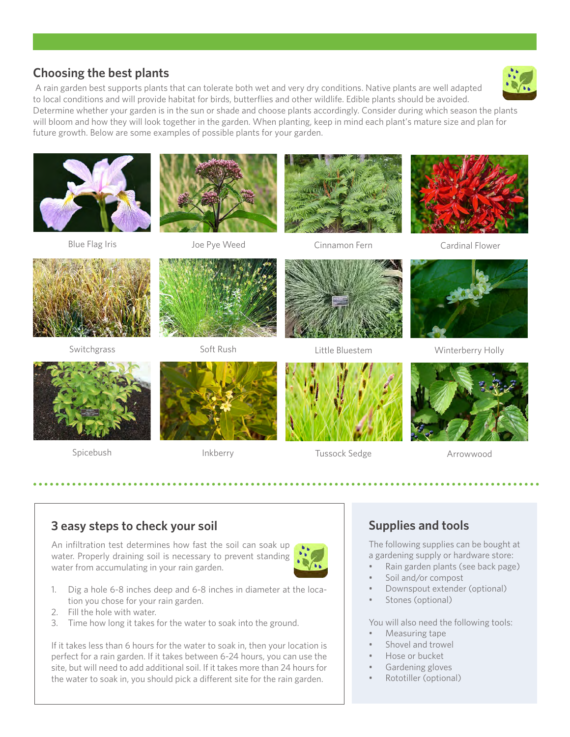Blue Flag Iris **State Cinnamon Cinnamon Fern** Cardinal Flower

## **3 easy steps to check your soil**

An infiltration test determines how fast the soil can soak up water. Properly draining soil is necessary to prevent standing water from accumulating in your rain garden.

- 1. Dig a hole 6-8 inches deep and 6-8 inches in diameter at the location you chose for your rain garden.
- 2. Fill the hole with water.
- 3. Time how long it takes for the water to soak into the ground.

If it takes less than 6 hours for the water to soak in, then your location is perfect for a rain garden. If it takes between 6-24 hours, you can use the site, but will need to add additional soil. If it takes more than 24 hours for the water to soak in, you should pick a different site for the rain garden.

## **Supplies and tools**

The following supplies can be bought at a gardening supply or hardware store:

- Rain garden plants (see back page)
- Soil and/or compost
- Downspout extender (optional)
- Stones (optional)

You will also need the following tools:

- Measuring tape
- Shovel and trowel
- Hose or bucket
- Gardening gloves
- Rototiller (optional)

# **Choosing the best plants**

 A rain garden best supports plants that can tolerate both wet and very dry conditions. Native plants are well adapted to local conditions and will provide habitat for birds, butterflies and other wildlife. Edible plants should be avoided.

Determine whether your garden is in the sun or shade and choose plants accordingly. Consider during which season the plants will bloom and how they will look together in the garden. When planting, keep in mind each plant's mature size and plan for future growth. Below are some examples of possible plants for your garden.

Switchgrass Soft Rush Little Bluestem Winterberry Holly